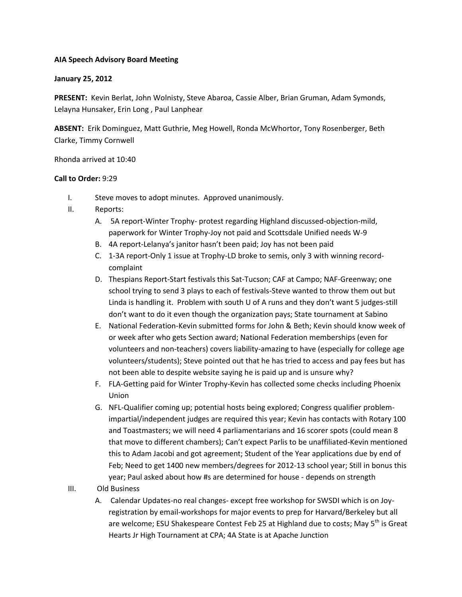## **AIA Speech Advisory Board Meeting**

## **January 25, 2012**

**PRESENT:** Kevin Berlat, John Wolnisty, Steve Abaroa, Cassie Alber, Brian Gruman, Adam Symonds, Lelayna Hunsaker, Erin Long , Paul Lanphear

**ABSENT:** Erik Dominguez, Matt Guthrie, Meg Howell, Ronda McWhortor, Tony Rosenberger, Beth Clarke, Timmy Cornwell

Rhonda arrived at 10:40

## **Call to Order:** 9:29

- I. Steve moves to adopt minutes. Approved unanimously.
- II. Reports:
	- A. 5A report-Winter Trophy- protest regarding Highland discussed-objection-mild, paperwork for Winter Trophy-Joy not paid and Scottsdale Unified needs W-9
	- B. 4A report-Lelanya's janitor hasn't been paid; Joy has not been paid
	- C. 1-3A report-Only 1 issue at Trophy-LD broke to semis, only 3 with winning recordcomplaint
	- D. Thespians Report-Start festivals this Sat-Tucson; CAF at Campo; NAF-Greenway; one school trying to send 3 plays to each of festivals-Steve wanted to throw them out but Linda is handling it. Problem with south U of A runs and they don't want 5 judges-still don't want to do it even though the organization pays; State tournament at Sabino
	- E. National Federation-Kevin submitted forms for John & Beth; Kevin should know week of or week after who gets Section award; National Federation memberships (even for volunteers and non-teachers) covers liability-amazing to have (especially for college age volunteers/students); Steve pointed out that he has tried to access and pay fees but has not been able to despite website saying he is paid up and is unsure why?
	- F. FLA-Getting paid for Winter Trophy-Kevin has collected some checks including Phoenix Union
	- G. NFL-Qualifier coming up; potential hosts being explored; Congress qualifier problemimpartial/independent judges are required this year; Kevin has contacts with Rotary 100 and Toastmasters; we will need 4 parliamentarians and 16 scorer spots (could mean 8 that move to different chambers); Can't expect Parlis to be unaffiliated-Kevin mentioned this to Adam Jacobi and got agreement; Student of the Year applications due by end of Feb; Need to get 1400 new members/degrees for 2012-13 school year; Still in bonus this year; Paul asked about how #s are determined for house - depends on strength
- III. Old Business
	- A. Calendar Updates-no real changes- except free workshop for SWSDI which is on Joyregistration by email-workshops for major events to prep for Harvard/Berkeley but all are welcome; ESU Shakespeare Contest Feb 25 at Highland due to costs; May 5<sup>th</sup> is Great Hearts Jr High Tournament at CPA; 4A State is at Apache Junction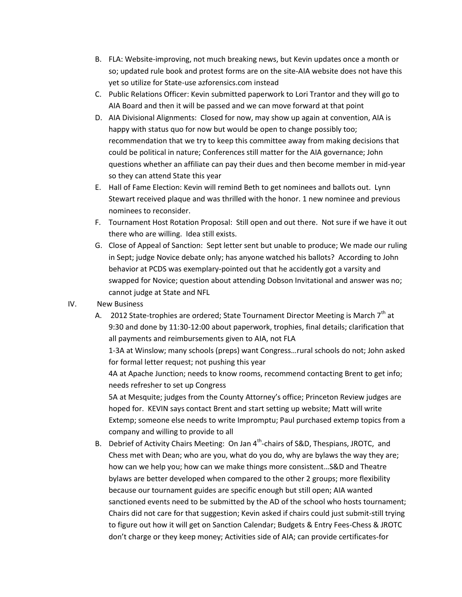- B. FLA: Website-improving, not much breaking news, but Kevin updates once a month or so; updated rule book and protest forms are on the site-AIA website does not have this yet so utilize for State-use azforensics.com instead
- C. Public Relations Officer: Kevin submitted paperwork to Lori Trantor and they will go to AIA Board and then it will be passed and we can move forward at that point
- D. AIA Divisional Alignments: Closed for now, may show up again at convention, AIA is happy with status quo for now but would be open to change possibly too; recommendation that we try to keep this committee away from making decisions that could be political in nature; Conferences still matter for the AIA governance; John questions whether an affiliate can pay their dues and then become member in mid-year so they can attend State this year
- E. Hall of Fame Election: Kevin will remind Beth to get nominees and ballots out. Lynn Stewart received plaque and was thrilled with the honor. 1 new nominee and previous nominees to reconsider.
- F. Tournament Host Rotation Proposal: Still open and out there. Not sure if we have it out there who are willing. Idea still exists.
- G. Close of Appeal of Sanction: Sept letter sent but unable to produce; We made our ruling in Sept; judge Novice debate only; has anyone watched his ballots? According to John behavior at PCDS was exemplary-pointed out that he accidently got a varsity and swapped for Novice; question about attending Dobson Invitational and answer was no; cannot judge at State and NFL
- IV. New Business
	- A. 2012 State-trophies are ordered; State Tournament Director Meeting is March  $7<sup>th</sup>$  at 9:30 and done by 11:30-12:00 about paperwork, trophies, final details; clarification that all payments and reimbursements given to AIA, not FLA

1-3A at Winslow; many schools (preps) want Congress…rural schools do not; John asked for formal letter request; not pushing this year

4A at Apache Junction; needs to know rooms, recommend contacting Brent to get info; needs refresher to set up Congress

5A at Mesquite; judges from the County Attorney's office; Princeton Review judges are hoped for. KEVIN says contact Brent and start setting up website; Matt will write Extemp; someone else needs to write Impromptu; Paul purchased extemp topics from a company and willing to provide to all

B. Debrief of Activity Chairs Meeting: On Jan  $4^{th}$ -chairs of S&D, Thespians, JROTC, and Chess met with Dean; who are you, what do you do, why are bylaws the way they are; how can we help you; how can we make things more consistent…S&D and Theatre bylaws are better developed when compared to the other 2 groups; more flexibility because our tournament guides are specific enough but still open; AIA wanted sanctioned events need to be submitted by the AD of the school who hosts tournament; Chairs did not care for that suggestion; Kevin asked if chairs could just submit-still trying to figure out how it will get on Sanction Calendar; Budgets & Entry Fees-Chess & JROTC don't charge or they keep money; Activities side of AIA; can provide certificates-for